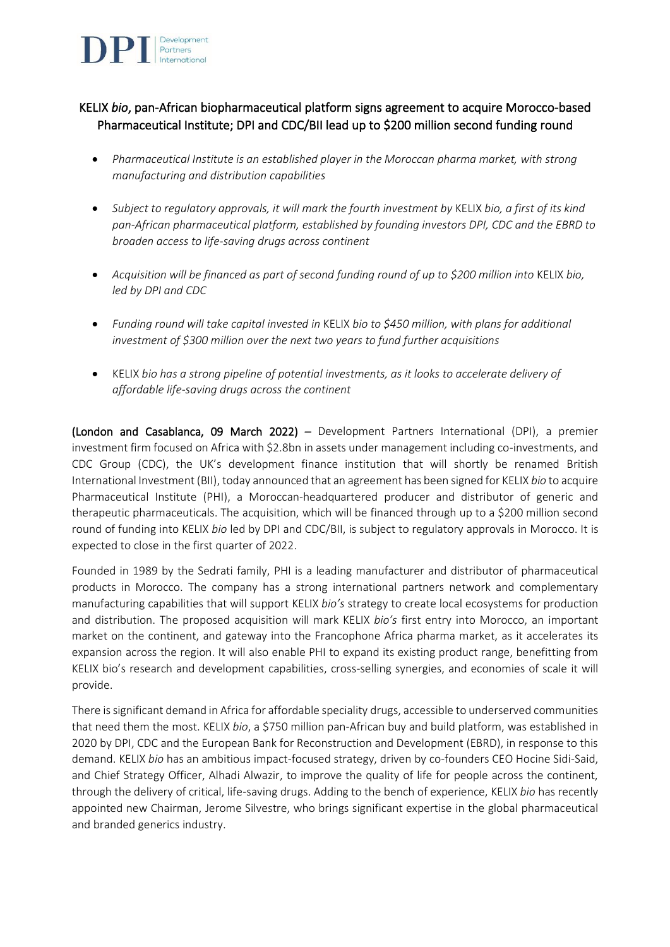

# KELIX *bio*, pan-African biopharmaceutical platform signs agreement to acquire Morocco-based Pharmaceutical Institute; DPI and CDC/BII lead up to \$200 million second funding round

- *Pharmaceutical Institute is an established player in the Moroccan pharma market, with strong manufacturing and distribution capabilities*
- *Subject to regulatory approvals, it will mark the fourth investment by* KELIX *bio, a first of its kind pan-African pharmaceutical platform, established by founding investors DPI, CDC and the EBRD to broaden access to life-saving drugs across continent*
- *Acquisition will be financed as part of second funding round of up to \$200 million into* KELIX *bio, led by DPI and CDC*
- *Funding round will take capital invested in* KELIX *bio to \$450 million, with plans for additional investment of \$300 million over the next two years to fund further acquisitions*
- KELIX *bio has a strong pipeline of potential investments, as it looks to accelerate delivery of affordable life-saving drugs across the continent*

(London and Casablanca, 09 March 2022) – Development Partners International (DPI), a premier investment firm focused on Africa with \$2.8bn in assets under management including co-investments, and CDC Group (CDC), the UK's development finance institution that will shortly be renamed British International Investment (BII), today announced that an agreement has been signed for KELIX *bio* to acquire Pharmaceutical Institute (PHI), a Moroccan-headquartered producer and distributor of generic and therapeutic pharmaceuticals. The acquisition, which will be financed through up to a \$200 million second round of funding into KELIX *bio* led by DPI and CDC/BII, is subject to regulatory approvals in Morocco. It is expected to close in the first quarter of 2022.

Founded in 1989 by the Sedrati family, PHI is a leading manufacturer and distributor of pharmaceutical products in Morocco. The company has a strong international partners network and complementary manufacturing capabilities that will support KELIX *bio's* strategy to create local ecosystems for production and distribution. The proposed acquisition will mark KELIX *bio's* first entry into Morocco, an important market on the continent, and gateway into the Francophone Africa pharma market, as it accelerates its expansion across the region. It will also enable PHI to expand its existing product range, benefitting from KELIX bio's research and development capabilities, cross-selling synergies, and economies of scale it will provide.

There issignificant demand in Africa for affordable speciality drugs, accessible to underserved communities that need them the most. KELIX *bio*, a \$750 million pan-African buy and build platform, was established in 2020 by DPI, CDC and the European Bank for Reconstruction and Development (EBRD), in response to this demand. KELIX *bio* has an ambitious impact-focused strategy, driven by co-founders CEO Hocine Sidi-Said, and Chief Strategy Officer, Alhadi Alwazir, to improve the quality of life for people across the continent, through the delivery of critical, life-saving drugs. Adding to the bench of experience, KELIX *bio* has recently appointed new Chairman, Jerome Silvestre, who brings significant expertise in the global pharmaceutical and branded generics industry.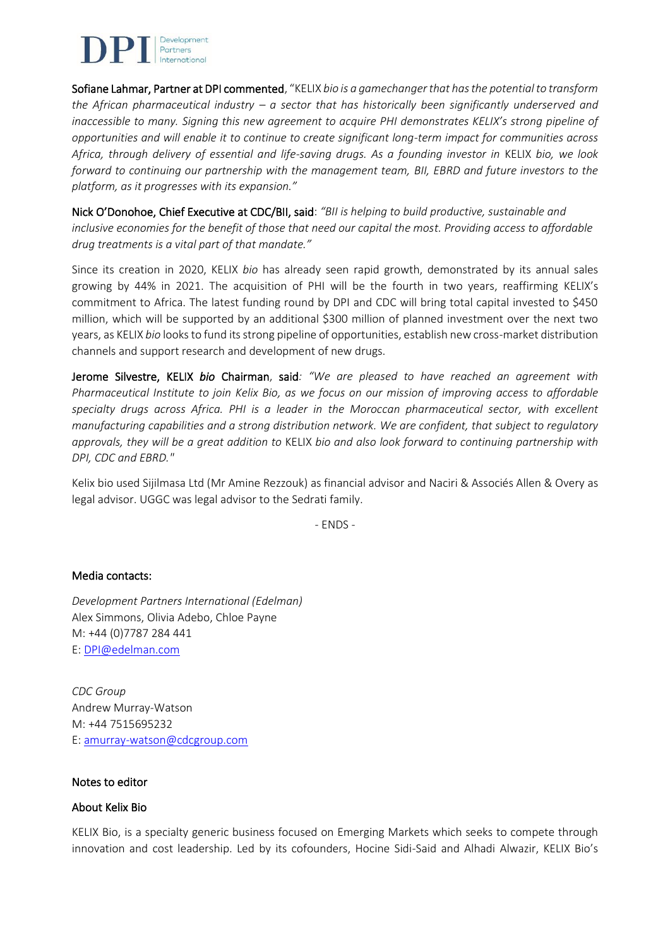

Sofiane Lahmar, Partner at DPI commented, "KELIX *bio is a gamechanger that has the potential to transform the African pharmaceutical industry – a sector that has historically been significantly underserved and inaccessible to many. Signing this new agreement to acquire PHI demonstrates KELIX's strong pipeline of opportunities and will enable it to continue to create significant long-term impact for communities across Africa, through delivery of essential and life-saving drugs. As a founding investor in* KELIX *bio, we look forward to continuing our partnership with the management team, BII, EBRD and future investors to the platform, as it progresses with its expansion."* 

Nick O'Donohoe, Chief Executive at CDC/BII, said: *"BII is helping to build productive, sustainable and inclusive economies for the benefit of those that need our capital the most. Providing access to affordable drug treatments is a vital part of that mandate."*

Since its creation in 2020, KELIX *bio* has already seen rapid growth, demonstrated by its annual sales growing by 44% in 2021. The acquisition of PHI will be the fourth in two years, reaffirming KELIX's commitment to Africa. The latest funding round by DPI and CDC will bring total capital invested to \$450 million, which will be supported by an additional \$300 million of planned investment over the next two years, as KELIX *bio* looks to fund its strong pipeline of opportunities, establish new cross-market distribution channels and support research and development of new drugs.

Jerome Silvestre, KELIX *bio* Chairman, said*: "We are pleased to have reached an agreement with Pharmaceutical Institute to join Kelix Bio, as we focus on our mission of improving access to affordable specialty drugs across Africa. PHI is a leader in the Moroccan pharmaceutical sector, with excellent manufacturing capabilities and a strong distribution network. We are confident, that subject to regulatory approvals, they will be a great addition to* KELIX *bio and also look forward to continuing partnership with DPI, CDC and EBRD."*

Kelix bio used Sijilmasa Ltd (Mr Amine Rezzouk) as financial advisor and Naciri & Associés Allen & Overy as legal advisor. UGGC was legal advisor to the Sedrati family.

- ENDS -

## Media contacts:

*Development Partners International (Edelman)* Alex Simmons, Olivia Adebo, Chloe Payne M: +44 (0)7787 284 441 E[: DPI@edelman.com](mailto:DPI@edelman.com)

*CDC Group* Andrew Murray-Watson M: +44 7515695232 E[: amurray-watson@cdcgroup.com](mailto:amurray-watson@cdcgroup.com)

#### Notes to editor

#### About Kelix Bio

KELIX Bio, is a specialty generic business focused on Emerging Markets which seeks to compete through innovation and cost leadership. Led by its cofounders, Hocine Sidi-Said and Alhadi Alwazir, KELIX Bio's